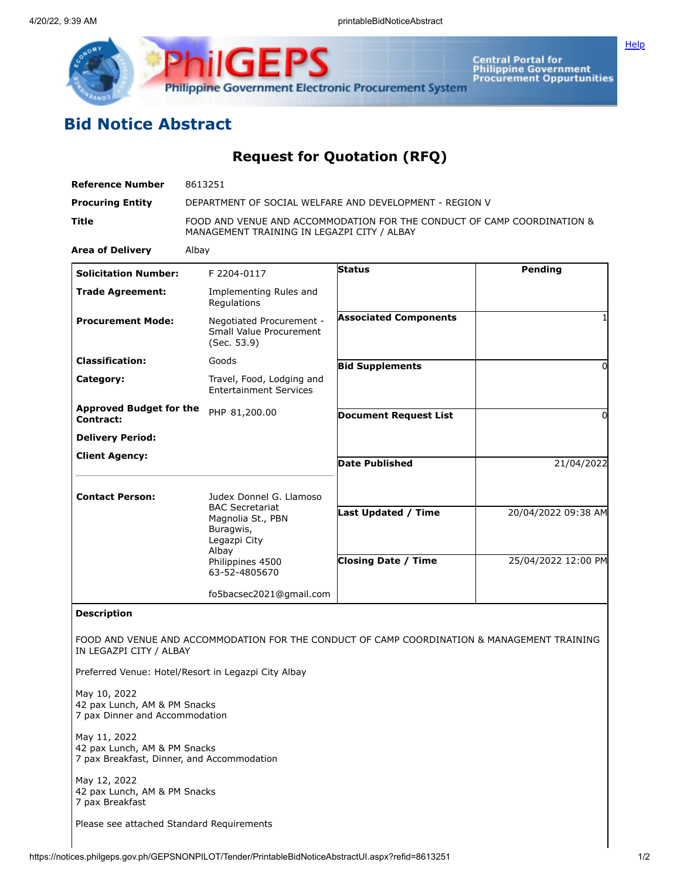

**Central Portal for<br>Philippine Government<br>Procurement Oppurtunities** 

**[Help](javascript:void(window.open()** 

## **Bid Notice Abstract**

## **Request for Quotation (RFQ)**

| <b>Reference Number</b>                                                                    | 8613251                                                                                                                                           |                                                                                             |                     |
|--------------------------------------------------------------------------------------------|---------------------------------------------------------------------------------------------------------------------------------------------------|---------------------------------------------------------------------------------------------|---------------------|
| <b>Procuring Entity</b>                                                                    | DEPARTMENT OF SOCIAL WELFARE AND DEVELOPMENT - REGION V                                                                                           |                                                                                             |                     |
| Title                                                                                      | FOOD AND VENUE AND ACCOMMODATION FOR THE CONDUCT OF CAMP COORDINATION &<br>MANAGEMENT TRAINING IN LEGAZPI CITY / ALBAY                            |                                                                                             |                     |
| <b>Area of Delivery</b>                                                                    | Albay                                                                                                                                             |                                                                                             |                     |
| <b>Solicitation Number:</b>                                                                | F 2204-0117                                                                                                                                       | <b>Status</b>                                                                               | <b>Pending</b>      |
| <b>Trade Agreement:</b>                                                                    | Implementing Rules and<br>Regulations                                                                                                             |                                                                                             |                     |
| <b>Procurement Mode:</b>                                                                   | Negotiated Procurement -<br>Small Value Procurement<br>(Sec. 53.9)                                                                                | <b>Associated Components</b>                                                                |                     |
| <b>Classification:</b>                                                                     | Goods                                                                                                                                             | <b>Bid Supplements</b>                                                                      | $\Omega$            |
| Category:                                                                                  | Travel, Food, Lodging and<br><b>Entertainment Services</b>                                                                                        |                                                                                             |                     |
| <b>Approved Budget for the</b><br>Contract:                                                | PHP 81,200.00                                                                                                                                     | <b>Document Request List</b>                                                                | 0                   |
| <b>Delivery Period:</b>                                                                    |                                                                                                                                                   |                                                                                             |                     |
| <b>Client Agency:</b>                                                                      |                                                                                                                                                   | <b>Date Published</b>                                                                       | 21/04/2022          |
| <b>Contact Person:</b>                                                                     | Judex Donnel G. Llamoso<br><b>BAC Secretariat</b><br>Magnolia St., PBN<br>Buragwis,<br>Legazpi City<br>Albay<br>Philippines 4500<br>63-52-4805670 |                                                                                             |                     |
|                                                                                            |                                                                                                                                                   | <b>Last Updated / Time</b>                                                                  | 20/04/2022 09:38 AM |
|                                                                                            |                                                                                                                                                   | <b>Closing Date / Time</b>                                                                  | 25/04/2022 12:00 PM |
|                                                                                            | fo5bacsec2021@gmail.com                                                                                                                           |                                                                                             |                     |
| <b>Description</b>                                                                         |                                                                                                                                                   |                                                                                             |                     |
| IN LEGAZPI CITY / ALBAY                                                                    |                                                                                                                                                   | FOOD AND VENUE AND ACCOMMODATION FOR THE CONDUCT OF CAMP COORDINATION & MANAGEMENT TRAINING |                     |
|                                                                                            | Preferred Venue: Hotel/Resort in Legazpi City Albay                                                                                               |                                                                                             |                     |
| May 10, 2022<br>42 pax Lunch, AM & PM Snacks<br>7 pax Dinner and Accommodation             |                                                                                                                                                   |                                                                                             |                     |
| May 11, 2022<br>42 pax Lunch, AM & PM Snacks<br>7 pax Breakfast, Dinner, and Accommodation |                                                                                                                                                   |                                                                                             |                     |
| May 12, 2022<br>42 pax Lunch, AM & PM Snacks<br>7 pax Breakfast                            |                                                                                                                                                   |                                                                                             |                     |
| Please see attached Standard Requirements                                                  |                                                                                                                                                   |                                                                                             |                     |

https://notices.philgeps.gov.ph/GEPSNONPILOT/Tender/PrintableBidNoticeAbstractUI.aspx?refid=8613251